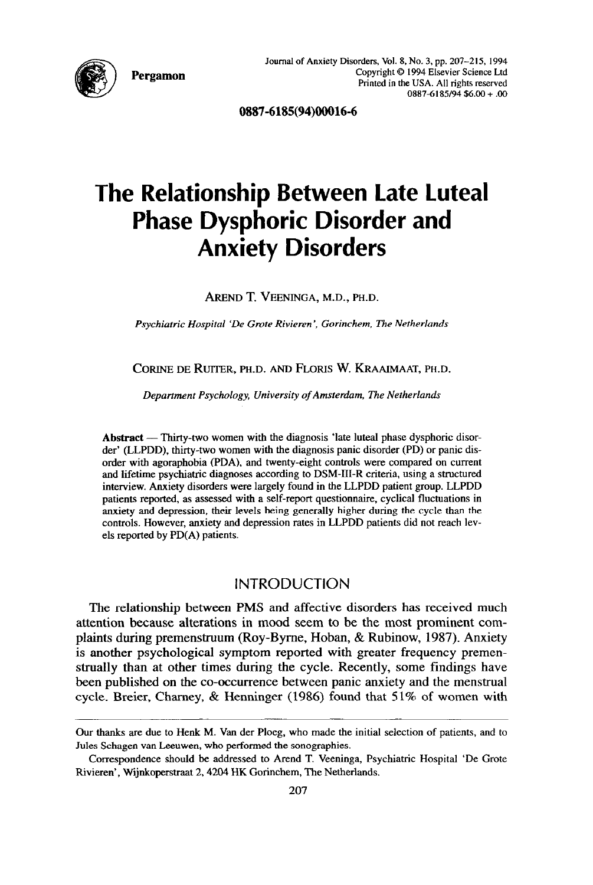

Pergamon

0887-6185(94)00016-6

# **The Relationship Between late Luteal Phase Dysphoric Disorder and Anxiety Disorders**

**ARESD T.** VEENINGA, **M.D.,** PH.D.

*Psychiatric Hospital 'De Gmte Rivieren', Gorinchem, The Netherlands* 

## CORINE DE RUITER, PH.D. AND FLORIS W. KRAAIMAAT, PH.D.

*Department Psychology. University of Amsterdam, The Netherlands* 

**Abstract** — Thirty-two women with the diagnosis 'late luteal phase dysphoric disorder' (LLPDD), thirty-two women with the diagnosis panic disorder (PD) or panic disorder with agoraphobia (PDA), and twenty-eight controls were compared on current and lifetime psychiatric diagnoses according to DSM-III-R criteria, using a structured interview. Anxiety disorders were largely found in the LLPDD patient group. LLPDD patients reported, as assessed with a self-report questionnaire, cyclical fluctuations in anxiety and depression, their levels being generally higher during the cycle than the controls. However, anxiety and depression rates in LLPDD patients did not reach levels reported by PD(A) patients.

## **INTRODUCTION**

**The relationship between** PMS **and affective disorders has received much attention because alterations in mood seem to be the most prominent complaints during premenstruum (Roy-Byrne, Hoban, & Rubinow, 1987). Anxiety is another psychological symptom reported with greater frequency premenstrually than at other times during the cycle. Recently, some findings have been published on the co-occurrence between panic anxiety and the menstrual cycle. Breier, Chamey, & Henninger (1986) found that 51% of women with** 

Our thanks are due to Henk M. Van der Ploeg, who made the initial selection of patients, and to Jules Schagen van Leeuwen, who performed the sonographies.

Correspondence should be addressed to Arend T. Veeninga, Psychiatric Hospital 'De Grote Rivieren', Wijnkoperstraat 2,4204 HK Gorinchem, The Netherlands.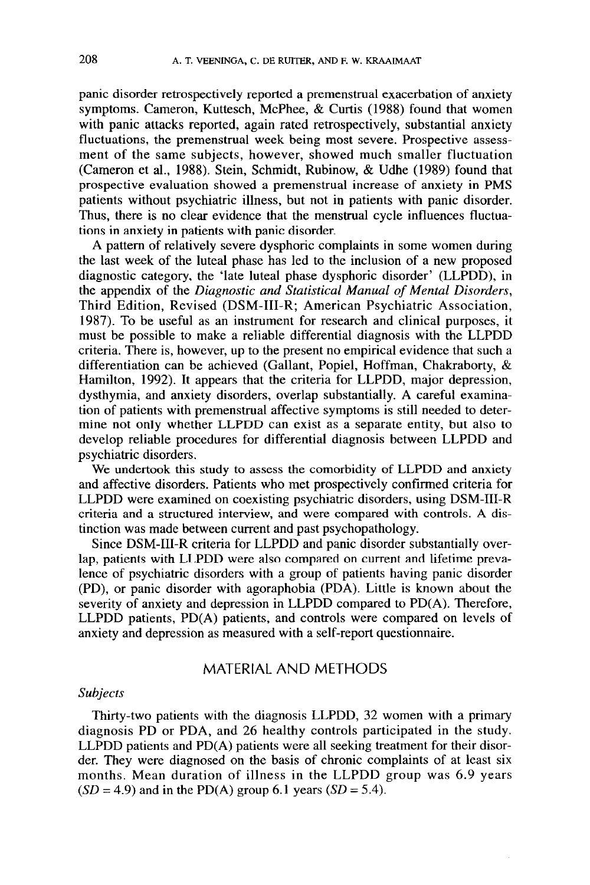panic disorder retrospectively reported a premenstrual exacerbation of anxiety symptoms. Cameron, Kuttesch, McPhee, & Curtis (1988) found that women with panic attacks reported, again rated retrospectively, substantial anxiety fluctuations, the premenstrual week being most severe. Prospective assessment of the same subjects, however, showed much smaller fluctuation (Cameron et al., 1988). Stein, Schmidt, Rubinow, & Udhe (1989) found that prospective evaluation showed a premenstrual increase of anxiety in PMS patients without psychiatric illness, but not in patients with panic disorder. Thus, there is no clear evidence that the menstrual cycle influences fluctuations in anxiety in patients with panic disorder.

A pattern of relatively severe dysphoric complaints in some women during the last week of the luteal phase has led to the inclusion of a new proposed diagnostic category, the 'late luteal phase dysphoric disorder' (LLPDD), in the appendix of the *Diagnostic and Statistical Manual of Mental Disorders,*  Third Edition, Revised (DSM-III-R; American Psychiatric Association, 1987). To be useful as an instrument for research and clinical purposes, it must be possible to make a reliable differential diagnosis with the LLPDD criteria. There is, however, up to the present no empirical evidence that such a differentiation can be achieved (Gallant, Popiel, Hoffman, Chakraborty, & Hamilton, 1992). It appears that the criteria for LLPDD, major depression, dysthymia, and anxiety disorders, overlap substantially. A careful examination of patients with premenstrual affective symptoms is still needed to determine not only whether LLPDD can exist as a separate entity, but also to develop reliable procedures for differential diagnosis between LLPDD and psychiatric disorders.

We undertook this study to assess the comorbidity of LLPDD and anxiety and affective disorders. Patients who met prospectively confirmed criteria for LLPDD were examined on coexisting psychiatric disorders, using DSM-III-R criteria and a structured interview, and were compared with controls. A distinction was made between current and past psychopathology.

Since DSM-III-R criteria for LLPDD and panic disorder substantially overlap, patients with LLPDD were also compared on current and lifetime prevalence of psychiatric disorders with a group of patients having panic disorder (PD), or panic disorder with agoraphobia (PDA). Little is known about the severity of anxiety and depression in LLPDD compared to PD(A). Therefore, LLPDD patients, PD(A) patients, and controls were compared on levels of anxiety and depression as measured with a self-report questionnaire.

# MATERIAL AND METHODS

## *Subjects*

Thirty-two patients with the diagnosis LLPDD, 32 women with a primary diagnosis PD or PDA, and 26 healthy controls participated in the study. LLPDD patients and  $PD(A)$  patients were all seeking treatment for their disorder. They were diagnosed on the basis of chronic complaints of at least six months. Mean duration of illness in the LLPDD group was 6.9 years  $(SD = 4.9)$  and in the PD(A) group 6.1 years  $(SD = 5.4)$ .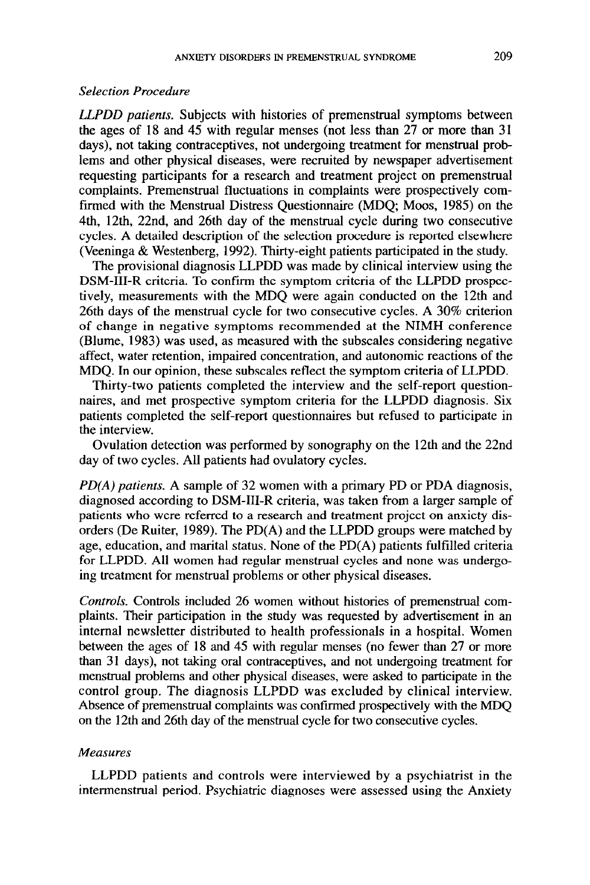## *Selection Procedure*

*LLPDD patients.* Subjects with histories of premenstrual symptoms between the ages of 18 and 45 with regular menses (not less than  $27$  or more than  $31$ days), not taking contraceptives, not undergoing treatment for menstrual problems and other physical diseases, were recruited by newspaper advertisement requesting participants for a research and treatment project on premenstrual complaints. Premenstrual fluctuations in complaints were prospectively comfirmed with the Menstrual Distress Questionnaire (MDQ; Moos, 1985) on the 4th, 12th, 22nd, and 26th day of the menstrual cycle during two consecutive cycles. A detailed description of the selection procedure is reported elsewhere (Veeninga & Westenberg, 1992). Thirty-eight patients participated in the study.

The provisional diagnosis LLPDD was made by clinical interview using the DSM-III-R criteria. To confirm the symptom criteria of the LLPDD prospectively, measurements with the MDQ were again conducted on the 12th and 26th days of the menstrual cycle for two consecutive cycles. A 30% criterion of change in negative symptoms recommended at the NIMH conference (Blume, 1983) was used, as measured with the subscales considering negative affect, water retention, impaired concentration, and autonomic reactions of the MDQ. In our opinion, these subscales reflect the symptom criteria of LLPDD.

Thirty-two patients completed the interview and the self-report questionnaires, and met prospective symptom criteria for the LLPDD diagnosis. Six patients completed the self-report questionnaires but refused to participate in the interview.

Ovulation detection was performed by sonography on the 12th and the 22nd day of two cycles. All patients had ovulatory cycles.

*PD(A) patients.* A sample of 32 women with a primary PD or PDA diagnosis, diagnosed according to DSM-III-R criteria, was taken from a larger sample of patients who were referred to a research and treatment project on anxiety disorders (De Ruiter, 1989). The PD(A) and the LLPDD groups were matched by age, education, and marital status. None of the PD(A) patients fulfilled criteria for LLPDD. All women had regular menstrual cycles and none was undergoing treatment for menstrual problems or other physical diseases.

*Controls.* Controls included 26 women without histories of premenstrual complaints. Their participation in the study was requested by advertisement in an internal newsletter distributed to health professionals in a hospital. Women between the ages of 18 and 45 with regular menses (no fewer than 27 or more than 31 days), not taking oral contraceptives, and not undergoing treatment for menstrual problems and other physical diseases, were asked to participate in the control group. The diagnosis LLPDD was excluded by clinical interview. Absence of premenstrual complaints was confirmed prospectively with the MDQ on the 12th and 26th day of the menstrual cycle for two consecutive cycles.

#### *Measures*

LLPDD patients and controls were interviewed by a psychiatrist in the intermenstrual period. Psychiatric diagnoses were assessed using the Anxiety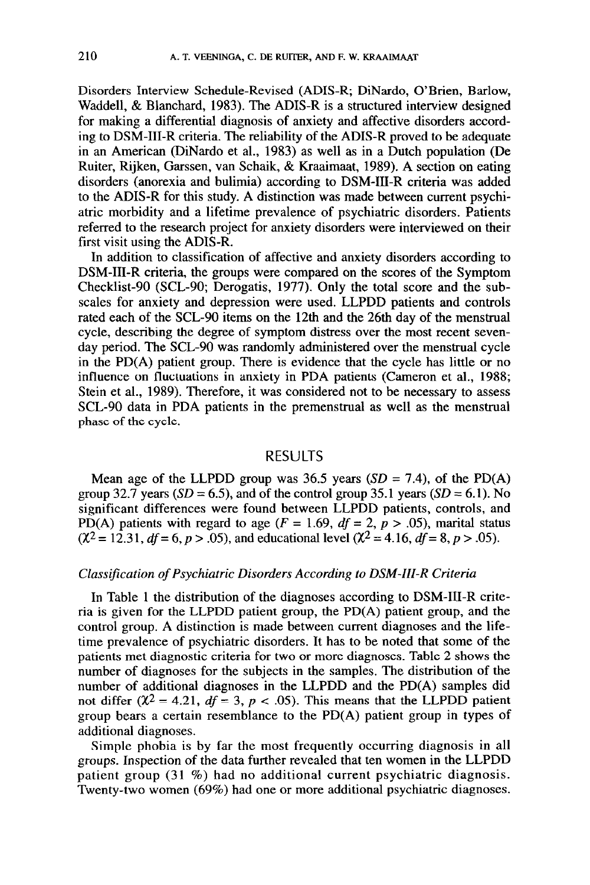Disorders Interview Schedule-Revised (ADIS-R; DiNardo, O'Brien, Barlow, Waddell, & Blanchard, 1983). The ADIS-R is a structured interview designed for making a differential diagnosis of anxiety and affective disorders according to DSM-III-R criteria. The reliability of the ADIS-R proved to be adequate in an American (DiNardo et al., 1983) as well as in a Dutch population (De Ruiter, Rijken, Garssen, van Schaik, & Kraaimaat, 1989). A section on eating disorders (anorexia and bulimia) according to DSM-III-R criteria was added to the ADIS-R for this study. A distinction was made between current psychiatric morbidity and a lifetime prevalence of psychiatric disorders. Patients referred to the research project for anxiety disorders were interviewed on their first visit using the ADIS-R.

In addition to classification of affective and anxiety disorders according to DSM-III-R criteria, the groups were compared on the scores of the Symptom Checklist-90 (SCL-90; Derogatis, 1977). Only the total score and the subscales for anxiety and depression were used. LLPDD patients and controls rated each of the SCL-90 items on the 12th and the 26th day of the menstrual cycle, describing the degree of symptom distress over the most recent sevenday period. The SCL-90 was randomly administered over the menstrual cycle in the PD(A) patient group. There is evidence that the cycle has little or no influence on fluctuations in anxiety in PDA patients (Cameron et al., 1988; Stein et al., 1989). Therefore, it was considered not to be necessary to assess SCL-90 data in PDA patients in the premenstrual as well as the menstrual phase of the cycle.

## **RESULTS**

Mean age of the LLPDD group was 36.5 years  $(SD = 7.4)$ , of the PD(A) group 32.7 years ( $SD = 6.5$ ), and of the control group 35.1 years ( $SD = 6.1$ ). No significant differences were found between LLPDD patients, controls, and PD(A) patients with regard to age  $(F = 1.69, df = 2, p > .05)$ , marital status  $(X^2 = 12.31, df = 6, p > .05)$ , and educational level  $(X^2 = 4.16, df = 8, p > .05)$ .

## *Classification of Psychiatric Disorders According to DSM-III-R Criteria*

In Table 1 the distribution of the diagnoses according to DSM-III-R criteria is given for the LLPDD patient group, the PD(A) patient group, and the control group. A distinction is made between current diagnoses and the lifetime prevalence of psychiatric disorders. It has to be noted that some of the patients met diagnostic criteria for two or more diagnoses. Table 2 shows the number of diagnoses for the subjects in the samples. The distribution of the number of additional diagnoses in the LLPDD and the PD(A) samples did not differ  $(\chi^2 = 4.21, df = 3, p < .05)$ . This means that the LLPDD patient group bears a certain resemblance to the PD(A) patient group in types of additional diagnoses.

Simple phobia is by far the most frequently occurring diagnosis in all groups. Inspection of the data further revealed that ten women in the LLPDD patient group (31 %) had no additional current psychiatric diagnosis. Twenty-two women (69%) had one or more additional psychiatric diagnoses.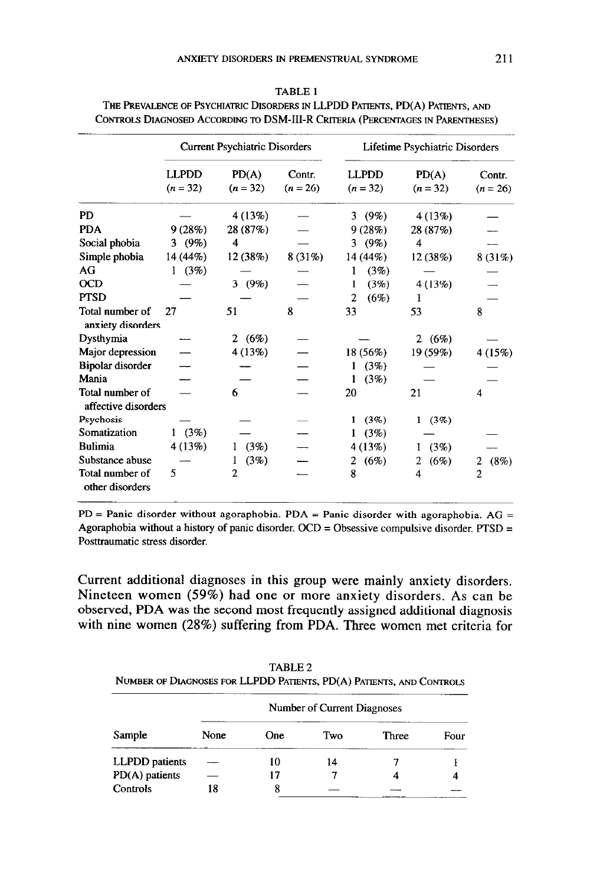|                                        | <b>Current Psychiatric Disorders</b> |                   |                      | Lifetime Psychiatric Disorders |                      |                      |  |
|----------------------------------------|--------------------------------------|-------------------|----------------------|--------------------------------|----------------------|----------------------|--|
|                                        | <b>LLPDD</b><br>$(n = 32)$           | PD(A)<br>$(n=32)$ | Contr.<br>$(n = 26)$ | <b>LLPDD</b><br>$(n = 32)$     | PD(A)<br>$(n=32)$    | Contr.<br>$(n = 26)$ |  |
| PD                                     |                                      | 4(13%)            |                      | 3 $(9%)$                       | 4(13%)               |                      |  |
| <b>PDA</b>                             | 9(28%)                               | 28 (87%)          |                      | 9(28%)                         | 28 (87%)             |                      |  |
| Social phobia                          | 3 $(9%)$                             | 4                 |                      | 3 $(9%)$                       | 4                    |                      |  |
| Simple phobia                          | 14 (44%)                             | 12(38%)           | 8 (31%)              | 14 (44%)                       | 12 (38%)             | 8(31%)               |  |
| AG                                     | 1 $(3%)$                             |                   |                      | (3%)<br>1                      |                      |                      |  |
| <b>OCD</b>                             |                                      | (9%)<br>$3 -$     |                      | (3%)<br>1                      | 4 (13%)              |                      |  |
| <b>PTSD</b>                            |                                      |                   |                      | 2<br>(6%)                      | 1                    |                      |  |
| Total number of<br>anxiety disorders   | 27                                   | 51                | 8                    | 33                             | 53                   | 8                    |  |
| Dysthymia                              |                                      | (6%)<br>2         |                      |                                | $\mathbf{2}$<br>(6%) |                      |  |
| Major depression                       |                                      | 4 (13%)           |                      | 18 (56%)                       | 19 (59%)             | 4(15%)               |  |
| Bipolar disorder                       |                                      |                   |                      | (3%)                           |                      |                      |  |
| Mania                                  |                                      |                   |                      | (3%)<br>1                      |                      |                      |  |
| Total number of<br>affective disorders |                                      | 6                 |                      | 20                             | 21                   |                      |  |
| Psychosis                              |                                      |                   |                      | (3%)                           | (3%)<br>1            |                      |  |
| Somatization                           | (3%)                                 |                   |                      | (3%)                           |                      |                      |  |
| <b>Bulimia</b>                         | 4(13%)                               | (3%)              |                      | 4(13%)                         | (3%)<br>L            |                      |  |
| Substance abuse                        |                                      | (3%)              |                      | (6%)<br>2                      | (6%)<br>2            | (8%)<br>2            |  |
| Total number of<br>other disorders     | 5                                    | $\overline{2}$    |                      | 8                              | 4                    | $\overline{2}$       |  |

TABLE 1 THE **PREVALENCE OF PSYCHIATRIC DISORDERS IN LLPDD** PATIENTS, PD(A) **PATENTS, AND CONTROLS DIAGNOSED ACCORDING TO DSM-III-R CRITERIA (PERCENTAGES IN PARENTHESES)** 

PD = Panic disorder without agoraphobia. PDA = Panic disorder with agoraphobia.  $AG =$ Agoraphobia without a history of panic disorder. OCD = Obsessive compulsive disorder.  $PTSD =$ Posttraumatic stress disorder.

Current additional diagnoses in this group were mainly anxiety disorders. Nineteen women (59%) had one or more anxiety disorders. As can be observed, PDA was the second most frequently assigned additional diagnosis with nine women (28%) suffering from PDA. Three women met criteria for

TABLE 2 **NUMESER OF DLAGNOSES FOR** LLPDD PATIENTS, PD(A) **PATENTS, AND** CONTROLS

| Sample                | Number of Current Diagnoses |     |     |              |      |  |  |
|-----------------------|-----------------------------|-----|-----|--------------|------|--|--|
|                       | None                        | One | Two | <b>Three</b> | Four |  |  |
| <b>LLPDD</b> patients |                             | 10  | 14  |              |      |  |  |
| $PD(A)$ patients      |                             |     |     |              |      |  |  |
| Controls              | 18                          |     |     |              |      |  |  |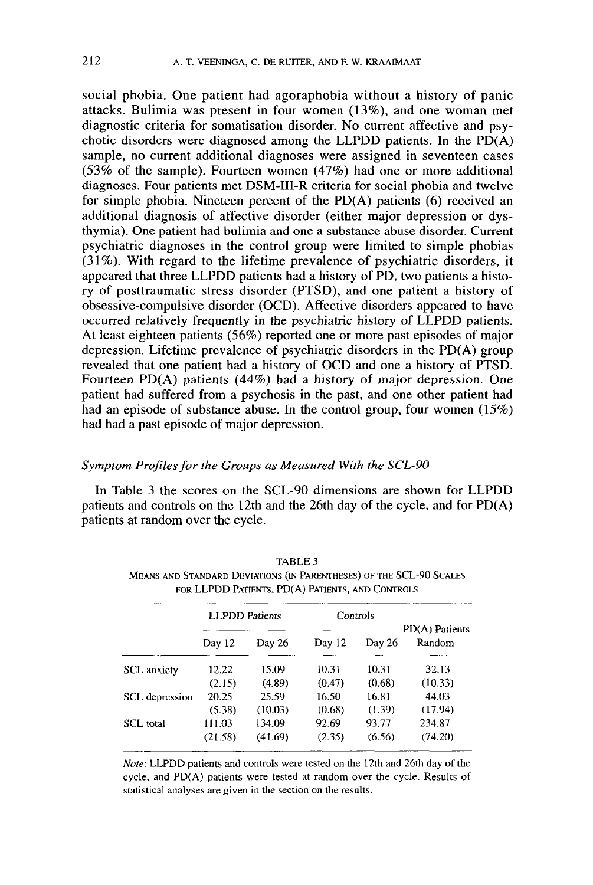social phobia. One patient had agoraphobia without a history of panic attacks. Bulimia was present in four women (13%), and one woman met diagnostic criteria for somatisation disorder. No current affective and psychotic disorders were diagnosed among the LLPDD patients. In the PD(A) sample, no current additional diagnoses were assigned in seventeen cases (53% of the sample). Fourteen women (47%) had one or more additional diagnoses. Four patients met DSM-III-R criteria for social phobia and twelve for simple phobia. Nineteen percent of the PD(A) patients (6) received an additional diagnosis of affective disorder (either major depression or dysthymia). One patient had bulimia and one a substance abuse disorder. Current psychiatric diagnoses in the control group were limited to simple phobias (31%). With regard to the lifetime prevalence of psychiatric disorders, it appeared that three LLPDD patients had a history of PD, two patients a history of posttraumatic stress disorder (PTSD), and one patient a history of obsessive-compulsive disorder (OCD). Affective disorders appeared to have occurred relatively frequently in the psychiatric history of LLPDD patients. At least eighteen patients (56%) reported one or more past episodes of major depression. Lifetime prevalence of psychiatric disorders in the PD(A) group revealed that one patient had a history of OCD and one a history of PTSD. Fourteen PD(A) patients (44%) had a history of major depression. One patient had suffered from a psychosis in the past, and one other patient had had an episode of substance abuse. In the control group, four women (15%) had had a past episode of major depression.

## *Symptom Profiles for the Groups as Measured With the XL-90*

In Table 3 the scores on the SCL-90 dimensions are shown for LLPDD patients and controls on the 12th and the 26th day of the cycle, and for PD(A) patients at random over the cycle.

|                    | <b>LLPDD</b> Patients |          | Controls |        | PD(A) Patients |
|--------------------|-----------------------|----------|----------|--------|----------------|
|                    | Day 12                | Day $26$ | Day 12   | Day 26 | Random         |
| <b>SCL</b> anxiety | 12.22                 | 15.09    | 10.31    | 10.31  | 32.13          |
|                    | (2.15)                | (4.89)   | (0.47)   | (0.68) | (10.33)        |
| SCL depression     | 20.25                 | 25.59    | 16.50    | 16.81  | 44.03          |
|                    | (5.38)                | (10.03)  | (0.68)   | (1.39) | (17.94)        |
| <b>SCL</b> total   | 111.03                | 134.09   | 92.69    | 93.77  | 234.87         |
|                    | (21.58)               | (41.69)  | (2.35)   | (6.56) | (74.20)        |

TABLE 3 **MEANS AND STANLIARD DEVIATIONS (IN PARENTHESES) OF THE** SCL-90 **SCALES FOR** LLPDD PATIENTS, PD(A) PATIENTS, AND CONTROLS

Note: LLPDD patients and controls were tested on the 12th and 26th day of the cycle, and PD(A) patients were tested at random over the cycle. Results of statistical analyses are given in the section on the results.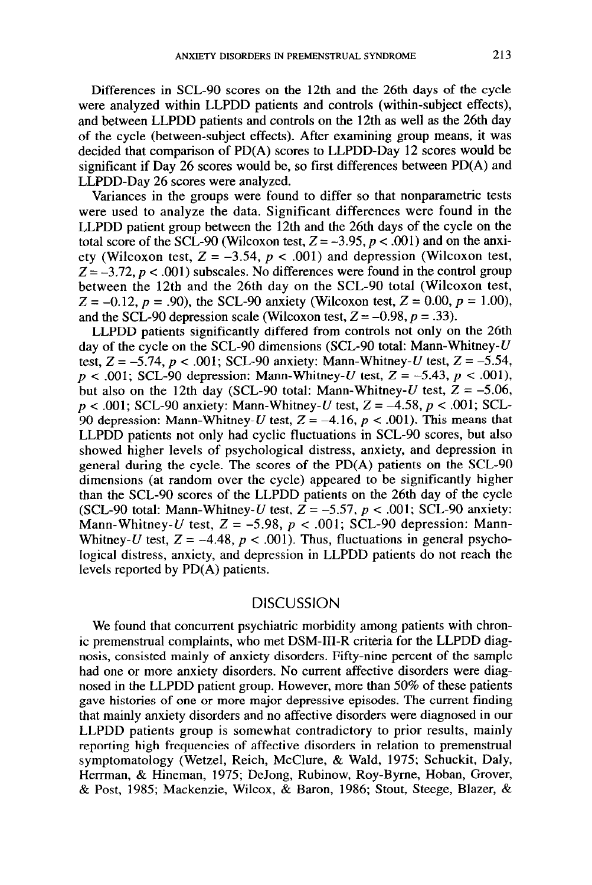Differences in XL-90 scores on the 12th and the 26th days of the cycle were analyzed within LLPDD patients and controls (within-subject effects), and between LLPDD patients and controls on the 12th as well as the 26th day of the cycle (between-subject effects). After examining group means, it was decided that comparison of PD(A) scores to LLPDD-Day 12 scores would be significant if Day 26 scores would be, so first differences between PD(A) and LLPDD-Day 26 scores were analyzed.

Variances in the groups were found to differ so that nonparametric tests were used to analyze the data. Significant differences were found in the LLPDD patient group between the 12th and the 26th days of the cycle on the total score of the SCL-90 (Wilcoxon test,  $Z = -3.95$ ,  $p < .001$ ) and on the anxiety (Wilcoxon test,  $Z = -3.54$ ,  $p < .001$ ) and depression (Wilcoxon test,  $Z = -3.72$ ,  $p < .001$ ) subscales. No differences were found in the control group between the 12th and the 26th day on the SCL-90 total (Wilcoxon test,  $Z = -0.12$ ,  $p = .90$ ), the SCL-90 anxiety (Wilcoxon test,  $Z = 0.00$ ,  $p = 1.00$ ), and the SCL-90 depression scale (Wilcoxon test,  $Z = -0.98$ ,  $p = .33$ ).

LLPDD patients significantly differed from controls not only on the 26th day of the cycle on the SCL-90 dimensions (SCL-90 total: Mann-Whitney-U test,  $Z = -5.74$ ,  $p < .001$ ; SCL-90 anxiety: Mann-Whitney-U test,  $Z = -5.54$ , *p < .OOl;* SCL-90 depression: Mann-Whitney-U test, Z = -5.43, *p <* .OOl), but also on the 12th day (SCL-90 total: Mann-Whitney-U test,  $Z = -5.06$ ,  $p < .001$ ; SCL-90 anxiety: Mann-Whitney-U test,  $Z = -4.58$ ,  $p < .001$ ; SCL-90 depression: Mann-Whitney-U test,  $Z = -4.16$ ,  $p < .001$ ). This means that LLPDD patients not only had cyclic fluctuations in SCL-90 scores, but also showed higher levels of psychological distress, anxiety, and depression in general during the cycle. The scores of the PD(A) patients on the SCL-90 dimensions (at random over the cycle) appeared to be significantly higher than the SCL-90 scores of the LLPDD patients on the 26th day of the cycle (SCL-90 total: Mann-Whitney-U test,  $Z = -5.57$ ,  $p < .001$ ; SCL-90 anxiety: Mann-Whitney-U test,  $Z = -5.98$ ,  $p < .001$ ; SCL-90 depression: Mann-Whitney-U test,  $Z = -4.48$ ,  $p < .001$ ). Thus, fluctuations in general psychological distress, anxiety, and depression in LLPDD patients do not reach the levels reported by PD(A) patients.

## DISCUSSION

We found that concurrent psychiatric morbidity among patients with chronic premenstrual complaints, who met DSM-III-R criteria for the LLPDD diagnosis, consisted mainly of anxiety disorders. Fifty-nine percent of the sample had one or more anxiety disorders. No current affective disorders were diagnosed in the LLPDD patient group. However, more than 50% of these patients gave histories of one or more major depressive episodes. The current finding that mainly anxiety disorders and no affective disorders were diagnosed in our LLPDD patients group is somewhat contradictory to prior results, mainly reporting high frequencies of affective disorders in relation to premenstrual symptomatology (Wetzel, Reich, McClure, & Wald, 1975; Schuckit, Daly, Herrman, & Hineman, 1975; DeJong, Rubinow, Roy-Byrne, Hoban, Grover, & Post, 1985; Mackenzie, Wilcox, & Baron, 1986; Stout, Steege, Blazer, &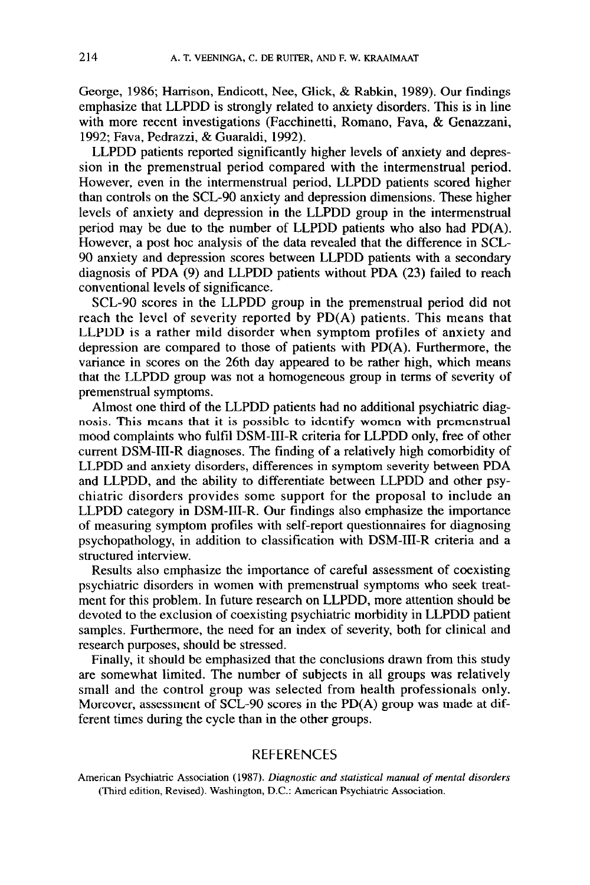George, 1986; Harrison, Endicott, Nee, Glick, & Rabkin, 1989). Our findings emphasize that LLPDD is strongly related to anxiety disorders. This is in line with more recent investigations (Facchinetti, Romano, Fava, & Genazzani, 1992; Fava, Pedrazzi, & Guaraldi, 1992).

LLPDD patients reported significantly higher levels of anxiety and depression in the premenstrual period compared with the intermenstrual period. However, even in the intermenstrual period, LLPDD patients scored higher than controls on the SCL-90 anxiety and depression dimensions. These higher levels of anxiety and depression in the LLPDD group in the intermenstrual period may be due to the number of LLPDD patients who also had PD(A). However, a post hoc analysis of the data revealed that the difference in SCL-90 anxiety and depression scores between LLPDD patients with a secondary diagnosis of PDA (9) and LLPDD patients without PDA (23) failed to reach conventional levels of significance.

SCL-90 scores in the LLPDD group in the premenstrual period did not reach the level of severity reported by PD(A) patients. This means that LLPDD is a rather mild disorder when symptom profiles of anxiety and depression are compared to those of patients with PD(A). Furthermore, the variance in scores on the 26th day appeared to be rather high, which means that the LLPDD group was not a homogeneous group in terms of severity of premenstrual symptoms.

Almost one third of the LLPDD patients had no additional psychiatric diagnosis. This means that it is possible to identify women with premenstrual mood complaints who fulfil DSM-III-R criteria for LLPDD only, free of other current DSM-III-R diagnoses. The finding of a relatively high comorbidity of LLPDD and anxiety disorders, differences in symptom severity between PDA and LLPDD, and the ability to differentiate between LLPDD and other psychiatric disorders provides some support for the proposal to include an LLPDD category in DSM-III-R. Our findings also emphasize the importance of measuring symptom profiles with self-report questionnaires for diagnosing psychopathology, in addition to classification with DSM-III-R criteria and a structured interview.

Results also emphasize the importance of careful assessment of coexisting psychiatric disorders in women with premenstrual symptoms who seek treatment for this problem. In future research on LLPDD, more attention should be devoted to the exclusion of coexisting psychiatric morbidity in LLPDD patient samples. Furthermore, the need for an index of severity, both for clinical and research purposes, should be stressed.

Finally, it should be emphasized that the conclusions drawn from this study are somewhat limited. The number of subjects in all groups was relatively small and the control group was selected from health professionals only. Moreover, assessment of SCL-90 scores in the PD(A) group was made at different times during the cycle than in the other groups.

## **REFERENCES**

American Psychiatric Association (1987). *Diagnostic and statistical manual of mental disorders*  (Third edition, Revised). Washington, DC.: American Psychiatric Association.